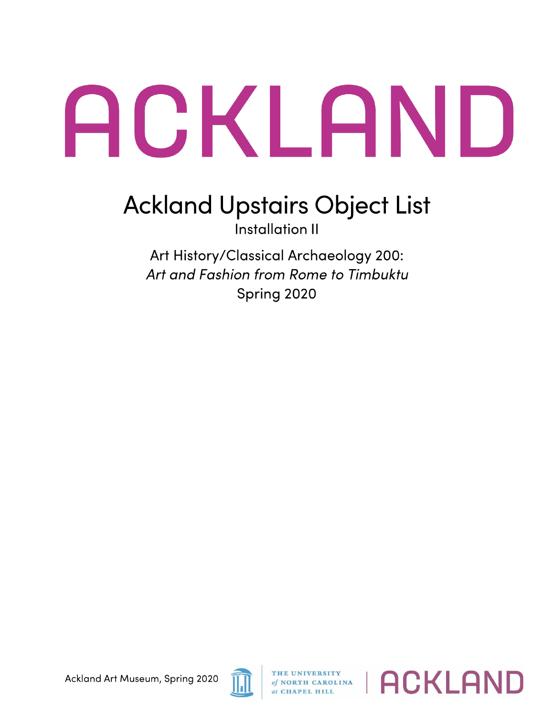## ACKLAND

## **Ackland Upstairs Object List**

Installation 11

Art History/Classical Archaeology 200: *Art and Fashion from Rome to Timbuktu*  Spring 2020



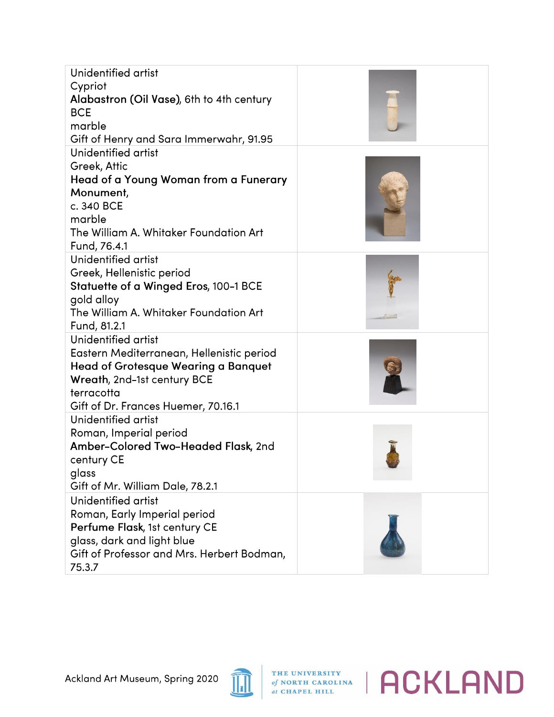| Unidentified artist<br>Cypriot<br>Alabastron (Oil Vase), 6th to 4th century<br><b>BCE</b><br>marble<br>Gift of Henry and Sara Immerwahr, 91.95                                                     |  |
|----------------------------------------------------------------------------------------------------------------------------------------------------------------------------------------------------|--|
| Unidentified artist<br>Greek, Attic<br>Head of a Young Woman from a Funerary<br>Monument,<br>c. 340 BCE<br>marble<br>The William A. Whitaker Foundation Art<br>Fund, 76.4.1                        |  |
| Unidentified artist<br>Greek, Hellenistic period<br>Statuette of a Winged Eros, 100-1 BCE<br>gold alloy<br>The William A. Whitaker Foundation Art<br>Fund, 81.2.1                                  |  |
| Unidentified artist<br>Eastern Mediterranean, Hellenistic period<br><b>Head of Grotesque Wearing a Banquet</b><br>Wreath, 2nd-1st century BCE<br>terracotta<br>Gift of Dr. Frances Huemer, 70.16.1 |  |
| Unidentified artist<br>Roman, Imperial period<br>Amber-Colored Two-Headed Flask, 2nd<br>century CE<br>glass<br>Gift of Mr. William Dale, 78.2.1                                                    |  |
| Unidentified artist<br>Roman, Early Imperial period<br>Perfume Flask, 1st century CE<br>glass, dark and light blue<br>Gift of Professor and Mrs. Herbert Bodman,<br>75.3.7                         |  |



*A <b>C ACKLAND ACKLAND*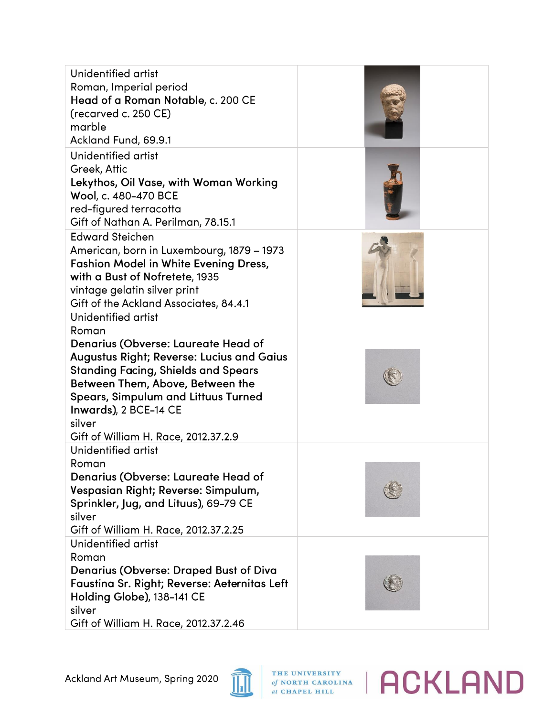| Unidentified artist<br>Roman, Imperial period<br>Head of a Roman Notable, c. 200 CE<br>(recarved c. 250 CE)<br>marble<br>Ackland Fund, 69.9.1                                                                                                                                                                                      |  |
|------------------------------------------------------------------------------------------------------------------------------------------------------------------------------------------------------------------------------------------------------------------------------------------------------------------------------------|--|
| Unidentified artist<br>Greek, Attic<br>Lekythos, Oil Vase, with Woman Working<br>Wool, c. 480-470 BCE<br>red-figured terracotta<br>Gift of Nathan A. Perilman, 78.15.1                                                                                                                                                             |  |
| <b>Edward Steichen</b><br>American, born in Luxembourg, 1879 - 1973<br><b>Fashion Model in White Evening Dress,</b><br>with a Bust of Nofretete, 1935<br>vintage gelatin silver print<br>Gift of the Ackland Associates, 84.4.1                                                                                                    |  |
| Unidentified artist<br>Roman<br>Denarius (Obverse: Laureate Head of<br><b>Augustus Right; Reverse: Lucius and Gaius</b><br><b>Standing Facing, Shields and Spears</b><br>Between Them, Above, Between the<br><b>Spears, Simpulum and Littuus Turned</b><br>Inwards), 2 BCE-14 CE<br>silver<br>Gift of William H. Race, 2012.37.2.9 |  |
| Unidentified artist<br>Roman<br>Denarius (Obverse: Laureate Head of<br>Vespasian Right; Reverse: Simpulum,<br>Sprinkler, Jug, and Lituus), 69-79 CE<br>silver<br>Gift of William H. Race, 2012.37.2.25                                                                                                                             |  |
| Unidentified artist<br>Roman<br><b>Denarius (Obverse: Draped Bust of Diva</b><br>Faustina Sr. Right; Reverse: Aeternitas Left<br>Holding Globe), 138-141 CE<br>silver<br>Gift of William H. Race, 2012.37.2.46                                                                                                                     |  |